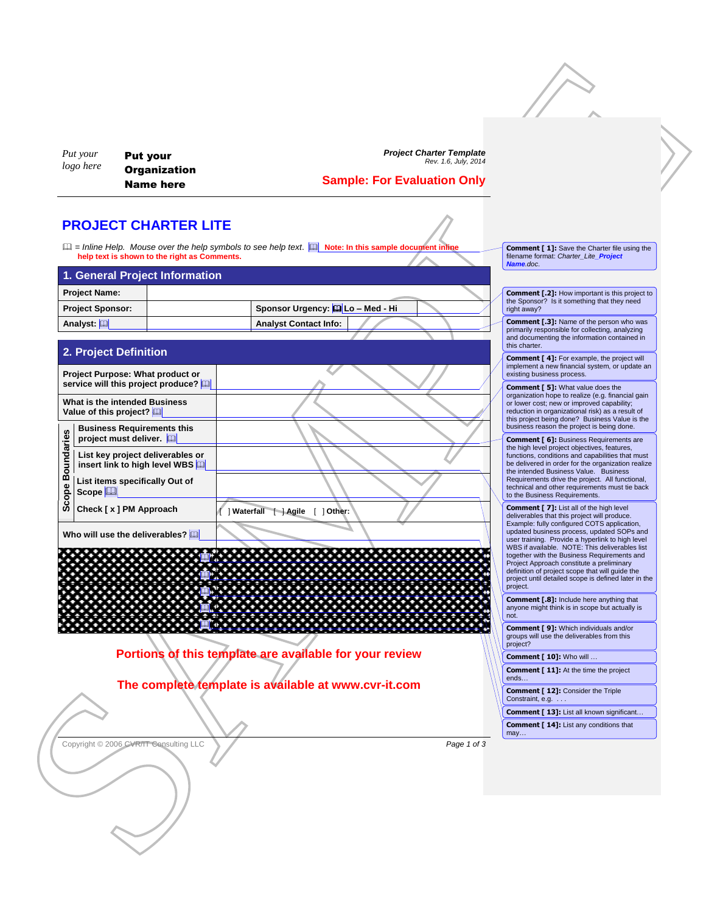*Put your logo here*

Put your **Organization** Name here

*Project Charter Template Rev. 1.6, July, 2014*

## **Sample: For Evaluation Only**

## **PROJECT CHARTER LITE**

 $\Box$  = Inline Help. Mouse over the help symbols to see help text.  $\Box$  **Note: In this sample document inline help text is shown to the right as Comments.**

| 1. General Project Information |                                    |  |  |  |  |  |  |  |
|--------------------------------|------------------------------------|--|--|--|--|--|--|--|
| <b>Project Name:</b>           |                                    |  |  |  |  |  |  |  |
| <b>Project Sponsor:</b>        | Sponsor Urgency: [1] Lo - Med - Hi |  |  |  |  |  |  |  |
| Analyst: [11]                  | <b>Analyst Contact Info:</b>       |  |  |  |  |  |  |  |

## **2. Project Definition**

SAMPLE **Project Purpose: What product or service will this project produce? What is the intended Business Value of this project? Scope Boundaries Business Requirements this project must deliver. List key project deliverables or insert link to high level WBS List items specifically Out of Scope Check [ x ] PM Approach** [ ] **Waterfall** [ ] **Agile** [ ] **Other: Who will use the deliverables?**  <u> Timber timber timber 19</u> **a** . . . . . . . . . . . . . . . <u>. 0</u>.  **Portions of this template are available for your review The complete template is available at www.cvr-it.com** project. not. project? ends… Constraint, e.g. . . . may…

Copyright © 2006 CVR/IT Consulting LLC **Page 1** of 3

**Comment [ 1]:** Save the Charter file using the filename format: *Charter\_Lite\_Project Name.doc*.

**Comment [.2]:** How important is this project to the Sponsor? Is it something that they need right away?

**Comment [.3]:** Name of the person who was primarily responsible for collecting, analyzing and documenting the information contained in this charter.

**Comment [ 4]:** For example, the project will implement a new financial system, or update an existing business process.

**Comment [ 5]:** What value does the organization hope to realize (e.g. financial gain or lower cost; new or improved capability; reduction in organizational risk) as a result of this project being done? Business Value is the business reason the project is being done.

**Comment [ 6]:** Business Requirements are the high level project objectives, features, functions, conditions and capabilities that must be delivered in order for the organization realize the intended Business Value. Business Requirements drive the project. All functional, technical and other requirements must tie back to the Business Requirements.

**Comment [ 7]:** List all of the high level deliverables that this project will produce. Example: fully configured COTS application, updated business process, updated SOPs and user training. Provide a hyperlink to high level WBS if available. NOTE: This deliverables list together with the Business Requirements and Project Approach constitute a preliminary definition of project scope that will guide the project until detailed scope is defined later in the

**Comment [.8]:** Include here anything that anyone might think is in scope but actually is

**Comment [ 9]:** Which individuals and/or groups will use the deliverables from this

**Comment [ 10]:** Who will …

**Comment [ 11]:** At the time the project

**Comment [ 12]:** Consider the Triple

**Comment [ 13]:** List all known significant...

**Comment [ 14]:** List any conditions that